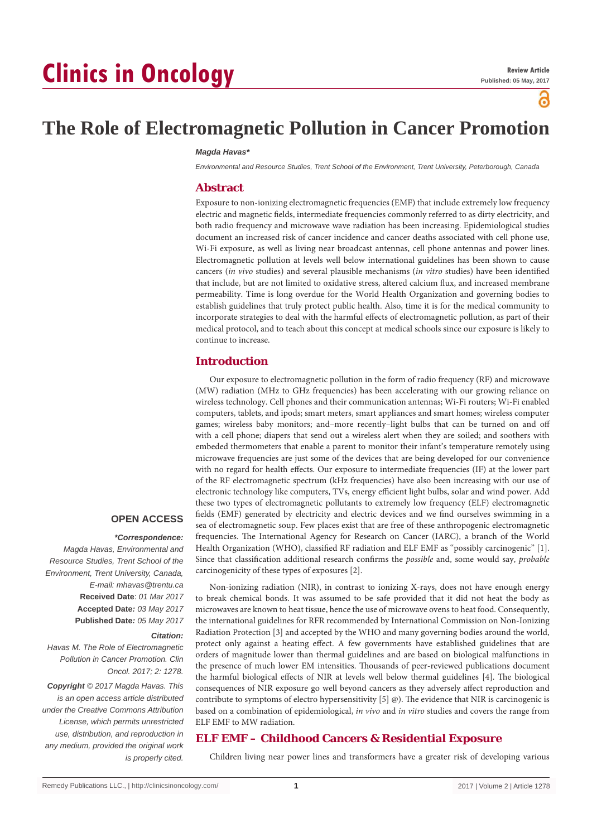# **Clinics in Oncology**



# **The Role of Electromagnetic Pollution in Cancer Promotion**

#### *Magda Havas\**

*Environmental and Resource Studies, Trent School of the Environment, Trent University, Peterborough, Canada*

#### **Abstract**

Exposure to non-ionizing electromagnetic frequencies (EMF) that include extremely low frequency electric and magnetic fields, intermediate frequencies commonly referred to as dirty electricity, and both radio frequency and microwave wave radiation has been increasing. Epidemiological studies document an increased risk of cancer incidence and cancer deaths associated with cell phone use, Wi-Fi exposure, as well as living near broadcast antennas, cell phone antennas and power lines. Electromagnetic pollution at levels well below international guidelines has been shown to cause cancers (*in vivo* studies) and several plausible mechanisms (*in vitro* studies) have been identified that include, but are not limited to oxidative stress, altered calcium flux, and increased membrane permeability. Time is long overdue for the World Health Organization and governing bodies to establish guidelines that truly protect public health. Also, time it is for the medical community to incorporate strategies to deal with the harmful effects of electromagnetic pollution, as part of their medical protocol, and to teach about this concept at medical schools since our exposure is likely to continue to increase.

#### **Introduction**

Our exposure to electromagnetic pollution in the form of radio frequency (RF) and microwave (MW) radiation (MHz to GHz frequencies) has been accelerating with our growing reliance on wireless technology. Cell phones and their communication antennas; Wi-Fi routers; Wi-Fi enabled computers, tablets, and ipods; smart meters, smart appliances and smart homes; wireless computer games; wireless baby monitors; and–more recently–light bulbs that can be turned on and off with a cell phone; diapers that send out a wireless alert when they are soiled; and soothers with embeded thermometers that enable a parent to monitor their infant's temperature remotely using microwave frequencies are just some of the devices that are being developed for our convenience with no regard for health effects. Our exposure to intermediate frequencies (IF) at the lower part of the RF electromagnetic spectrum (kHz frequencies) have also been increasing with our use of electronic technology like computers, TVs, energy efficient light bulbs, solar and wind power. Add these two types of electromagnetic pollutants to extremely low frequency (ELF) electromagnetic fields (EMF) generated by electricity and electric devices and we find ourselves swimming in a sea of electromagnetic soup. Few places exist that are free of these anthropogenic electromagnetic frequencies. The International Agency for Research on Cancer (IARC), a branch of the World Health Organization (WHO), classified RF radiation and ELF EMF as "possibly carcinogenic" [1]. Since that classification additional research confirms the *possible* and, some would say, *probable* carcinogenicity of these types of exposures [2].

Non-ionizing radiation (NIR), in contrast to ionizing X-rays, does not have enough energy to break chemical bonds. It was assumed to be safe provided that it did not heat the body as microwaves are known to heat tissue, hence the use of microwave ovens to heat food. Consequently, the international guidelines for RFR recommended by International Commission on Non-Ionizing Radiation Protection [3] and accepted by the WHO and many governing bodies around the world, protect only against a heating effect. A few governments have established guidelines that are

#### **OPEN ACCESS**

#### *\*Correspondence:*

*Magda Havas, Environmental and Resource Studies, Trent School of the Environment, Trent University, Canada, E-mail: mhavas@trentu.ca* **Received Date**: *01 Mar 2017* **Accepted Date***: 03 May 2017* **Published Date***: 05 May 2017*

#### *Citation:*

*Havas M. The Role of Electromagnetic Pollution in Cancer Promotion. Clin Oncol. 2017; 2: 1278.*

*Copyright © 2017 Magda Havas. This is an open access article distributed under the Creative Commons Attribution License, which permits unrestricted use, distribution, and reproduction in any medium, provided the original work is properly cited.*

#### orders of magnitude lower than thermal guidelines and are based on biological malfunctions in the presence of much lower EM intensities. Thousands of peer-reviewed publications document the harmful biological effects of NIR at levels well below thermal guidelines [4]. The biological consequences of NIR exposure go well beyond cancers as they adversely affect reproduction and contribute to symptoms of electro hypersensitivity [5] @). The evidence that NIR is carcinogenic is based on a combination of epidemiological, *in vivo* and *in vitro* studies and covers the range from ELF EMF to MW radiation.

## **ELF EMF – Childhood Cancers & Residential Exposure**

Children living near power lines and transformers have a greater risk of developing various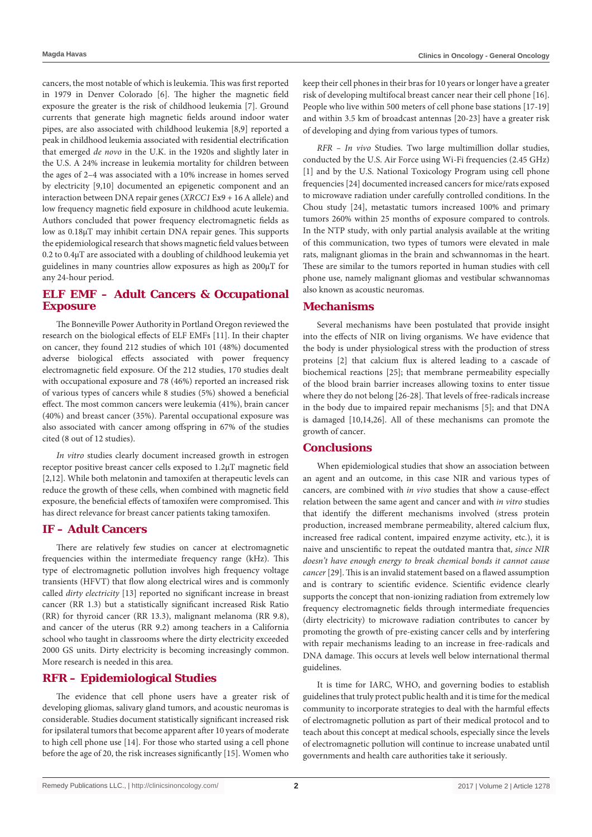cancers, the most notable of which is leukemia. This was first reported in 1979 in Denver Colorado [6]. The higher the magnetic field exposure the greater is the risk of childhood leukemia [7]. Ground currents that generate high magnetic fields around indoor water pipes, are also associated with childhood leukemia [8,9] reported a peak in childhood leukemia associated with residential electrification that emerged *de novo* in the U.K. in the 1920s and slightly later in the U.S. A 24% increase in leukemia mortality for children between the ages of 2–4 was associated with a 10% increase in homes served by electricity [9,10] documented an epigenetic component and an interaction between DNA repair genes (*XRCC1* Ex9 + 16 A allele) and low frequency magnetic field exposure in childhood acute leukemia. Authors concluded that power frequency electromagnetic fields as low as 0.18µT may inhibit certain DNA repair genes. This supports the epidemiological research that shows magnetic field values between 0.2 to 0.4µT are associated with a doubling of childhood leukemia yet guidelines in many countries allow exposures as high as 200µT for any 24-hour period.

## **ELF EMF – Adult Cancers & Occupational Exposure**

The Bonneville Power Authority in Portland Oregon reviewed the research on the biological effects of ELF EMFs [11]. In their chapter on cancer, they found 212 studies of which 101 (48%) documented adverse biological effects associated with power frequency electromagnetic field exposure. Of the 212 studies, 170 studies dealt with occupational exposure and 78 (46%) reported an increased risk of various types of cancers while 8 studies (5%) showed a beneficial effect. The most common cancers were leukemia (41%), brain cancer (40%) and breast cancer (35%). Parental occupational exposure was also associated with cancer among offspring in 67% of the studies cited (8 out of 12 studies).

*In vitro* studies clearly document increased growth in estrogen receptor positive breast cancer cells exposed to 1.2µT magnetic field [2,12]. While both melatonin and tamoxifen at therapeutic levels can reduce the growth of these cells, when combined with magnetic field exposure, the beneficial effects of tamoxifen were compromised. This has direct relevance for breast cancer patients taking tamoxifen.

#### **IF – Adult Cancers**

There are relatively few studies on cancer at electromagnetic frequencies within the intermediate frequency range (kHz). This type of electromagnetic pollution involves high frequency voltage transients (HFVT) that flow along electrical wires and is commonly called *dirty electricity* [13] reported no significant increase in breast cancer (RR 1.3) but a statistically significant increased Risk Ratio (RR) for thyroid cancer (RR 13.3), malignant melanoma (RR 9.8), and cancer of the uterus (RR 9.2) among teachers in a California school who taught in classrooms where the dirty electricity exceeded 2000 GS units. Dirty electricity is becoming increasingly common. More research is needed in this area.

#### **RFR – Epidemiological Studies**

The evidence that cell phone users have a greater risk of developing gliomas, salivary gland tumors, and acoustic neuromas is considerable. Studies document statistically significant increased risk for ipsilateral tumors that become apparent after 10 years of moderate to high cell phone use [14]. For those who started using a cell phone before the age of 20, the risk increases significantly [15]. Women who keep their cell phones in their bras for 10 years or longer have a greater risk of developing multifocal breast cancer near their cell phone [16]. People who live within 500 meters of cell phone base stations [17-19] and within 3.5 km of broadcast antennas [20-23] have a greater risk of developing and dying from various types of tumors.

*RFR – In vivo* Studies*.* Two large multimillion dollar studies, conducted by the U.S. Air Force using Wi-Fi frequencies (2.45 GHz) [1] and by the U.S. National Toxicology Program using cell phone frequencies [24] documented increased cancers for mice/rats exposed to microwave radiation under carefully controlled conditions. In the Chou study [24], metastatic tumors increased 100% and primary tumors 260% within 25 months of exposure compared to controls. In the NTP study, with only partial analysis available at the writing of this communication, two types of tumors were elevated in male rats, malignant gliomas in the brain and schwannomas in the heart. These are similar to the tumors reported in human studies with cell phone use, namely malignant gliomas and vestibular schwannomas also known as acoustic neuromas.

#### **Mechanisms**

Several mechanisms have been postulated that provide insight into the effects of NIR on living organisms. We have evidence that the body is under physiological stress with the production of stress proteins [2] that calcium flux is altered leading to a cascade of biochemical reactions [25]; that membrane permeability especially of the blood brain barrier increases allowing toxins to enter tissue where they do not belong [26-28]*.* That levels of free-radicals increase in the body due to impaired repair mechanisms [5]; and that DNA is damaged [10,14,26]. All of these mechanisms can promote the growth of cancer.

#### **Conclusions**

When epidemiological studies that show an association between an agent and an outcome, in this case NIR and various types of cancers, are combined with *in vivo* studies that show a cause-effect relation between the same agent and cancer and with *in vitro* studies that identify the different mechanisms involved (stress protein production, increased membrane permeability, altered calcium flux, increased free radical content, impaired enzyme activity, etc.), it is naive and unscientific to repeat the outdated mantra that, *since NIR doesn't have enough energy to break chemical bonds it cannot cause cancer* [29]. This is an invalid statement based on a flawed assumption and is contrary to scientific evidence. Scientific evidence clearly supports the concept that non-ionizing radiation from extremely low frequency electromagnetic fields through intermediate frequencies (dirty electricity) to microwave radiation contributes to cancer by promoting the growth of pre-existing cancer cells and by interfering with repair mechanisms leading to an increase in free-radicals and DNA damage. This occurs at levels well below international thermal guidelines.

It is time for IARC, WHO, and governing bodies to establish guidelines that truly protect public health and it is time for the medical community to incorporate strategies to deal with the harmful effects of electromagnetic pollution as part of their medical protocol and to teach about this concept at medical schools, especially since the levels of electromagnetic pollution will continue to increase unabated until governments and health care authorities take it seriously.